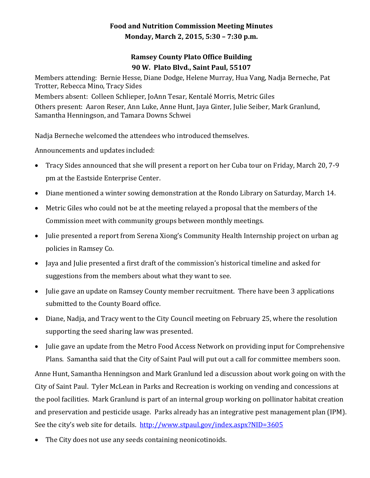## **Food and Nutrition Commission Meeting Minutes Monday, March 2, 2015, 5:30 – 7:30 p.m.**

## **Ramsey County Plato Office Building 90 W. Plato Blvd., Saint Paul, 55107**

Members attending: Bernie Hesse, Diane Dodge, Helene Murray, Hua Vang, Nadja Berneche, Pat Trotter, Rebecca Mino, Tracy Sides Members absent: Colleen Schlieper, JoAnn Tesar, Kentalé Morris, Metric Giles Others present: Aaron Reser, Ann Luke, Anne Hunt, Jaya Ginter, Julie Seiber, Mark Granlund, Samantha Henningson, and Tamara Downs Schwei

Nadja Berneche welcomed the attendees who introduced themselves.

Announcements and updates included:

- Tracy Sides announced that she will present a report on her Cuba tour on Friday, March 20, 7-9 pm at the Eastside Enterprise Center.
- Diane mentioned a winter sowing demonstration at the Rondo Library on Saturday, March 14.
- Metric Giles who could not be at the meeting relayed a proposal that the members of the Commission meet with community groups between monthly meetings.
- Julie presented a report from Serena Xiong's Community Health Internship project on urban ag policies in Ramsey Co.
- Jaya and Julie presented a first draft of the commission's historical timeline and asked for suggestions from the members about what they want to see.
- Julie gave an update on Ramsey County member recruitment. There have been 3 applications submitted to the County Board office.
- Diane, Nadja, and Tracy went to the City Council meeting on February 25, where the resolution supporting the seed sharing law was presented.
- Julie gave an update from the Metro Food Access Network on providing input for Comprehensive Plans. Samantha said that the City of Saint Paul will put out a call for committee members soon.

Anne Hunt, Samantha Henningson and Mark Granlund led a discussion about work going on with the City of Saint Paul. Tyler McLean in Parks and Recreation is working on vending and concessions at the pool facilities. Mark Granlund is part of an internal group working on pollinator habitat creation and preservation and pesticide usage. Parks already has an integrative pest management plan (IPM). See the city's web site for details. <http://www.stpaul.gov/index.aspx?NID=3605>

The City does not use any seeds containing neonicotinoids.